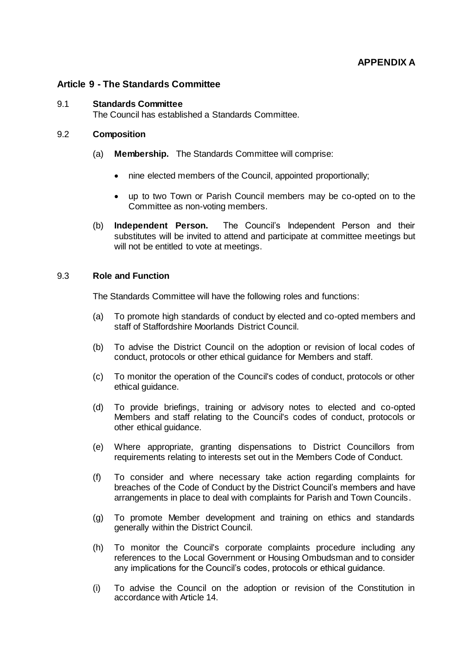## **Article 9 - The Standards Committee**

#### 9.1 **Standards Committee**

The Council has established a Standards Committee.

### 9.2 **Composition**

- (a) **Membership.** The Standards Committee will comprise:
	- nine elected members of the Council, appointed proportionally;
	- up to two Town or Parish Council members may be co-opted on to the Committee as non-voting members.
- (b) **Independent Person.** The Council's Independent Person and their substitutes will be invited to attend and participate at committee meetings but will not be entitled to vote at meetings.

## 9.3 **Role and Function**

The Standards Committee will have the following roles and functions:

- (a) To promote high standards of conduct by elected and co-opted members and staff of Staffordshire Moorlands District Council.
- (b) To advise the District Council on the adoption or revision of local codes of conduct, protocols or other ethical guidance for Members and staff.
- (c) To monitor the operation of the Council's codes of conduct, protocols or other ethical guidance.
- (d) To provide briefings, training or advisory notes to elected and co-opted Members and staff relating to the Council's codes of conduct, protocols or other ethical guidance.
- (e) Where appropriate, granting dispensations to District Councillors from requirements relating to interests set out in the Members Code of Conduct.
- (f) To consider and where necessary take action regarding complaints for breaches of the Code of Conduct by the District Council's members and have arrangements in place to deal with complaints for Parish and Town Councils.
- (g) To promote Member development and training on ethics and standards generally within the District Council.
- (h) To monitor the Council's corporate complaints procedure including any references to the Local Government or Housing Ombudsman and to consider any implications for the Council's codes, protocols or ethical guidance.
- (i) To advise the Council on the adoption or revision of the Constitution in accordance with Article 14.